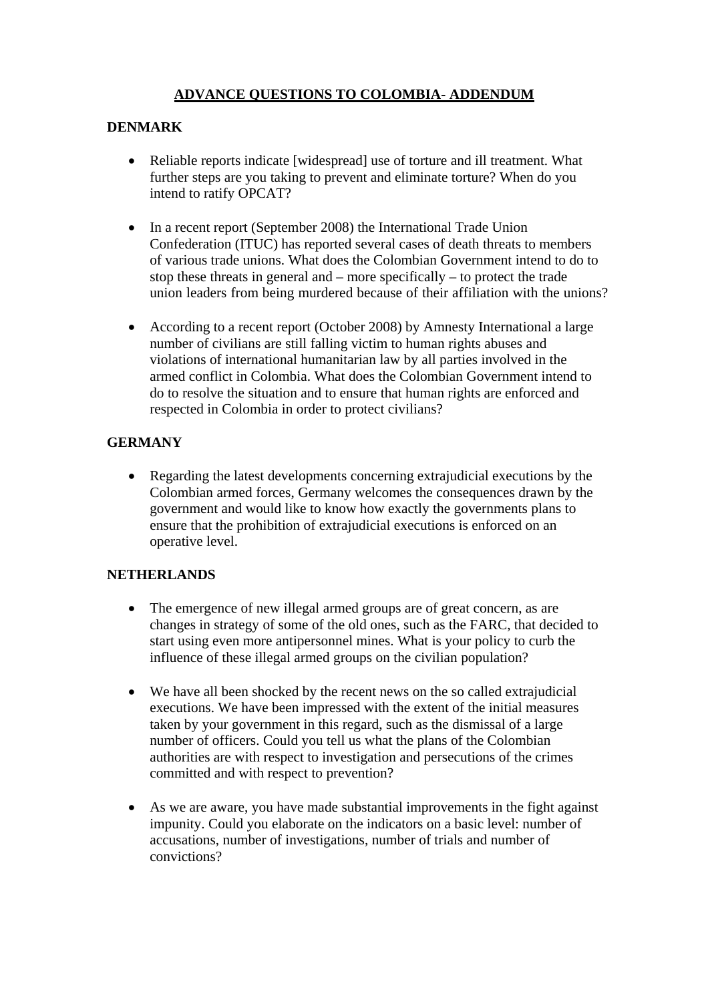# **ADVANCE QUESTIONS TO COLOMBIA- ADDENDUM**

### **DENMARK**

- Reliable reports indicate [widespread] use of torture and ill treatment. What further steps are you taking to prevent and eliminate torture? When do you intend to ratify OPCAT?
- In a recent report (September 2008) the International Trade Union Confederation (ITUC) has reported several cases of death threats to members of various trade unions. What does the Colombian Government intend to do to stop these threats in general and – more specifically – to protect the trade union leaders from being murdered because of their affiliation with the unions?
- According to a recent report (October 2008) by Amnesty International a large number of civilians are still falling victim to human rights abuses and violations of international humanitarian law by all parties involved in the armed conflict in Colombia. What does the Colombian Government intend to do to resolve the situation and to ensure that human rights are enforced and respected in Colombia in order to protect civilians?

# **GERMANY**

• Regarding the latest developments concerning extrajudicial executions by the Colombian armed forces, Germany welcomes the consequences drawn by the government and would like to know how exactly the governments plans to ensure that the prohibition of extrajudicial executions is enforced on an operative level.

#### **NETHERLANDS**

- The emergence of new illegal armed groups are of great concern, as are changes in strategy of some of the old ones, such as the FARC, that decided to start using even more antipersonnel mines. What is your policy to curb the influence of these illegal armed groups on the civilian population?
- We have all been shocked by the recent news on the so called extrajudicial executions. We have been impressed with the extent of the initial measures taken by your government in this regard, such as the dismissal of a large number of officers. Could you tell us what the plans of the Colombian authorities are with respect to investigation and persecutions of the crimes committed and with respect to prevention?
- As we are aware, you have made substantial improvements in the fight against impunity. Could you elaborate on the indicators on a basic level: number of accusations, number of investigations, number of trials and number of convictions?